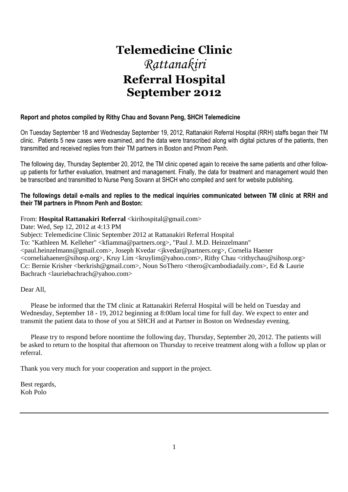# **Telemedicine Clinic**  *Rattanakiri*  **Referral Hospital September 2012**

## **Report and photos compiled by Rithy Chau and Sovann Peng, SHCH Telemedicine**

On Tuesday September 18 and Wednesday September 19, 2012, Rattanakiri Referral Hospital (RRH) staffs began their TM clinic. Patients 5 new cases were examined, and the data were transcribed along with digital pictures of the patients, then transmitted and received replies from their TM partners in Boston and Phnom Penh.

The following day, Thursday September 20, 2012, the TM clinic opened again to receive the same patients and other followup patients for further evaluation, treatment and management. Finally, the data for treatment and management would then be transcribed and transmitted to Nurse Peng Sovann at SHCH who compiled and sent for website publishing.

## **The followings detail e-mails and replies to the medical inquiries communicated between TM clinic at RRH and their TM partners in Phnom Penh and Boston:**

## From: **Hospital Rattanakiri Referral** <kirihospital@gmail.com>

Date: Wed, Sep 12, 2012 at 4:13 PM Subject: Telemedicine Clinic September 2012 at Rattanakiri Referral Hospital To: "Kathleen M. Kelleher" <kfiamma@partners.org>, "Paul J. M.D. Heinzelmann" <paul.heinzelmann@gmail.com>, Joseph Kvedar <jkvedar@partners.org>, Cornelia Haener <corneliahaener@sihosp.org>, Kruy Lim <kruylim@yahoo.com>, Rithy Chau <rithychau@sihosp.org> Cc: Bernie Krisher <berkrish@gmail.com>, Noun SoThero <thero@cambodiadaily.com>, Ed & Laurie Bachrach <lauriebachrach@yahoo.com>

## Dear All,

 Please be informed that the TM clinic at Rattanakiri Referral Hospital will be held on Tuesday and Wednesday, September 18 - 19, 2012 beginning at 8:00am local time for full day. We expect to enter and transmit the patient data to those of you at SHCH and at Partner in Boston on Wednesday evening.

 Please try to respond before noontime the following day, Thursday, September 20, 2012. The patients will be asked to return to the hospital that afternoon on Thursday to receive treatment along with a follow up plan or referral.

Thank you very much for your cooperation and support in the project.

Best regards, Koh Polo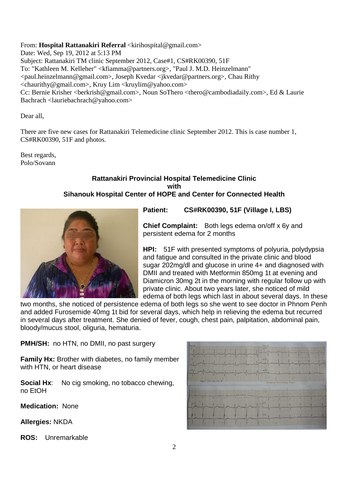From: **Hospital Rattanakiri Referral** <kirihospital@gmail.com>

Date: Wed, Sep 19, 2012 at 5:13 PM Subject: Rattanakiri TM clinic September 2012, Case#1, CS#RK00390, 51F To: "Kathleen M. Kelleher" <kfiamma@partners.org>, "Paul J. M.D. Heinzelmann" <paul.heinzelmann@gmail.com>, Joseph Kvedar <jkvedar@partners.org>, Chau Rithy <chaurithy@gmail.com>, Kruy Lim <kruylim@yahoo.com> Cc: Bernie Krisher <br/>berkrish@gmail.com>, Noun SoThero <thero@cambodiadaily.com>, Ed & Laurie Bachrach <lauriebachrach@yahoo.com>

Dear all,

There are five new cases for Rattanakiri Telemedicine clinic September 2012. This is case number 1, CS#RK00390, 51F and photos.

Best regards, Polo/Sovann

## **Rattanakiri Provincial Hospital Telemedicine Clinic with Sihanouk Hospital Center of HOPE and Center for Connected Health**



**Patient: CS#RK00390, 51F (Village I, LBS)** 

**Chief Complaint:** Both legs edema on/off x 6y and persistent edema for 2 months

**HPI:** 51F with presented symptoms of polyuria, polydypsia and fatigue and consulted in the private clinic and blood sugar 202mg/dl and glucose in urine 4+ and diagnosed with DMII and treated with Metformin 850mg 1t at evening and Diamicron 30mg 2t in the morning with regular follow up with private clinic. About two years later, she noticed of mild edema of both legs which last in about several days. In these

two months, she noticed of persistence edema of both legs so she went to see doctor in Phnom Penh and added Furosemide 40mg 1t bid for several days, which help in relieving the edema but recurred in several days after treatment. She denied of fever, cough, chest pain, palpitation, abdominal pain, bloody/mucus stool, oliguria, hematuria.

**PMH/SH:** no HTN, no DMII, no past surgery

**Family Hx:** Brother with diabetes, no family member with HTN, or heart disease

**Social Hx:** No cig smoking, no tobacco chewing, no EtOH

**Medication:** None

**Allergies:** NKDA

**ROS:** Unremarkable

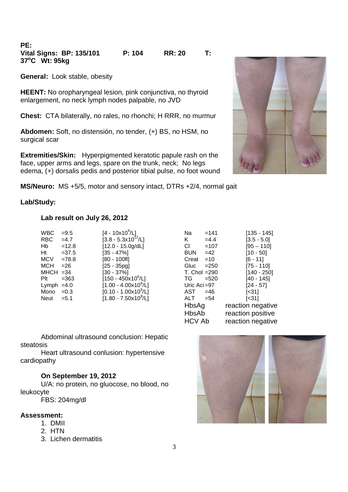**PE: Vital Signs: BP: 135/101 P: 104 RR: 20 T: 37<sup>o</sup>C Wt: 95kg** 

**General:** Look stable, obesity

**HEENT:** No oropharyngeal lesion, pink conjunctiva, no thyroid enlargement, no neck lymph nodes palpable, no JVD

**Chest:** CTA bilaterally, no rales, no rhonchi; H RRR, no murmur

**Abdomen:** Soft, no distensión, no tender, (+) BS, no HSM, no surgical scar

**Extremities/Skin:** Hyperpigmented keratotic papule rash on the face, upper arms and legs, spare on the trunk, neck; No legs edema, (+) dorsalis pedis and posterior tibial pulse, no foot wound

**MS/Neuro:** MS +5/5, motor and sensory intact, DTRs +2/4, normal gait

## **Lab/Study:**

## **Lab result on July 26, 2012**

| <b>WBC</b>   | $=9.5$  | $[4 - 10x10^9/L]$                | Na                     | $=141$  | $[135 - 145]$ |
|--------------|---------|----------------------------------|------------------------|---------|---------------|
| RBC.         | $=4.7$  | $[3.8 - 5.3 \times 10^{12} / L]$ | K                      | $=4.4$  | $[3.5 - 5.0]$ |
| Hb           | $=12.8$ | $[12.0 - 15.0g/dL]$              | CI.                    | $=107$  | $[95 - 110]$  |
| Ht           | $=37.5$ | $[35 - 47\%]$                    | <b>BUN</b>             | $=42$   | $[10 - 50]$   |
| <b>MCV</b>   | $=78.8$ | $[80 - 100f]$                    | Creat                  | $=10$   | $[6 - 11]$    |
| MCH          | $= 26$  | $[25 - 35pg]$                    | Gluc                   | $= 250$ | $[75 - 110]$  |
| $MHCH = 34$  |         | $[30 - 37\%]$                    | $T_{\rm L}$ Chol = 290 |         | $[140 - 250]$ |
| Plt          | $= 363$ | $[150 - 450x10^9/L]$             | TG.                    | $=520$  | $[40 - 145]$  |
| Lymph $=4.0$ |         | $[1.00 - 4.00 \times 10^9$ /L]   | Uric Aci $=97$         |         | $[24 - 57]$   |
| Mono $=0.3$  |         | $[0.10 - 1.00 \times 10^{9}$ /L] | AST                    | $=46$   | $[<31]$       |
| Neut         | $= 5.1$ | $[1.80 - 7.50 \times 10^9 / L]$  | ALT                    | $= 54$  | $[<31]$       |
|              |         |                                  |                        |         |               |

| <b>WBC</b>  | $= 9.5$  | $[4 - 10 \times 10^9/L]$         | Na              | $=141$  | $[135 - 145]$     |
|-------------|----------|----------------------------------|-----------------|---------|-------------------|
| <b>RBC</b>  | $=4.7$   | $[3.8 - 5.3x10^{12}/L]$          | Κ               | $=4.4$  | $[3.5 - 5.0]$     |
| Hb          | $=12.8$  | $[12.0 - 15.0g/dL]$              | CI              | $=107$  | $[95 - 110]$      |
| Ht          | $= 37.5$ | [35 - 47%]                       | <b>BUN</b>      | $=42$   | $[10 - 50]$       |
| <b>MCV</b>  | $=78.8$  | $[80 - 100f]$                    | Creat           | $=10$   | $[6 - 11]$        |
| <b>MCH</b>  | $= 26$   | $[25 - 35pq]$                    | Gluc            | $= 250$ | $[75 - 110]$      |
| $MHCH = 34$ |          | [30 - 37%]                       | $T.$ Chol = 290 |         | $[140 - 250]$     |
| Plt         | $= 363$  | $[150 - 450 \times 10^9$ /L]     | TG.             | $=520$  | [40 - 145]        |
| Lymph       | $=4.0$   | $[1.00 - 4.00 \times 10^9$ /L]   | Uric Aci=97     |         | $[24 - 57]$       |
| Mono        | $=0.3$   | $[0.10 - 1.00 \times 10^9/L]$    | AST             | $=46$   | [<31]             |
| <b>Neut</b> | $= 5.1$  | $[1.80 - 7.50 \times 10^{9}$ /L] | ALT             | $= 54$  | [<31]             |
|             |          |                                  | HbsAg           |         | reaction negative |
|             |          |                                  | HbsAb           |         | reaction positive |
|             |          |                                  | <b>HCV Ab</b>   |         | reaction negative |

Abdominal ultrasound conclusion: Hepatic steatosis

Heart ultrasound conlusion: hypertensive cardiopathy

## **On September 19, 2012**

U/A: no protein, no gluocose, no blood, no leukocyte

FBS: 204mg/dl

### **Assessment:**

- 1. DMII
- 2. HTN
- 3. Lichen dermatitis



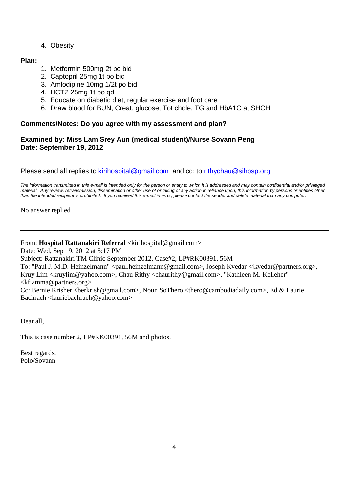4. Obesity

## **Plan:**

- 1. Metformin 500mg 2t po bid
- 2. Captopril 25mg 1t po bid
- 3. Amlodipine 10mg 1/2t po bid
- 4. HCTZ 25mg 1t po qd
- 5. Educate on diabetic diet, regular exercise and foot care
- 6. Draw blood for BUN, Creat, glucose, Tot chole, TG and HbA1C at SHCH

## **Comments/Notes: Do you agree with my assessment and plan?**

## **Examined by: Miss Lam Srey Aun (medical student)/Nurse Sovann Peng Date: September 19, 2012**

Please send all replies to kirihospital@gmail.com and cc: to rithychau@sihosp.org

The information transmitted in this e-mail is intended only for the person or entity to which it is addressed and may contain confidential and/or privileged material. Any review, retransmission, dissemination or other use of or taking of any action in reliance upon, this information by persons or entities other than the intended recipient is prohibited. If you received this e-mail in error, please contact the sender and delete material from any computer.

No answer replied

## From: **Hospital Rattanakiri Referral** <kirihospital@gmail.com>

Date: Wed, Sep 19, 2012 at 5:17 PM

Subject: Rattanakiri TM Clinic September 2012, Case#2, LP#RK00391, 56M

To: "Paul J. M.D. Heinzelmann" <paul.heinzelmann@gmail.com>, Joseph Kvedar <jkvedar@partners.org>, Kruy Lim <kruylim@yahoo.com>, Chau Rithy <chaurithy@gmail.com>, "Kathleen M. Kelleher" <kfiamma@partners.org>

Cc: Bernie Krisher <berkrish@gmail.com>, Noun SoThero <thero@cambodiadaily.com>, Ed & Laurie Bachrach <lauriebachrach@yahoo.com>

Dear all,

This is case number 2, LP#RK00391, 56M and photos.

Best regards, Polo/Sovann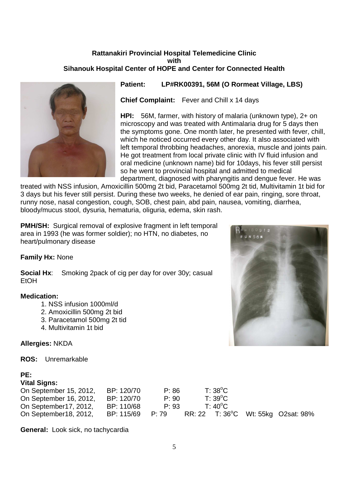## **Rattanakiri Provincial Hospital Telemedicine Clinic with Sihanouk Hospital Center of HOPE and Center for Connected Health**



**Patient: LP#RK00391, 56M (O Rormeat Village, LBS)** 

**Chief Complaint:** Fever and Chill x 14 days

**HPI:** 56M, farmer, with history of malaria (unknown type), 2+ on microscopy and was treated with Antimalaria drug for 5 days then the symptoms gone. One month later, he presented with fever, chill, which he noticed occurred every other day. It also associated with left temporal throbbing headaches, anorexia, muscle and joints pain. He got treatment from local private clinic with IV fluid infusion and oral medicine (unknown name) bid for 10days, his fever still persist so he went to provincial hospital and admitted to medical department, diagnosed with pharyngitis and dengue fever. He was

treated with NSS infusion, Amoxicillin 500mg 2t bid, Paracetamol 500mg 2t tid, Multivitamin 1t bid for 3 days but his fever still persist. During these two weeks, he denied of ear pain, ringing, sore throat, runny nose, nasal congestion, cough, SOB, chest pain, abd pain, nausea, vomiting, diarrhea, bloody/mucus stool, dysuria, hematuria, oliguria, edema, skin rash.

**PMH/SH:** Surgical removal of explosive fragment in left temporal area in 1993 (he was former soldier); no HTN, no diabetes, no heart/pulmonary disease

## **Family Hx:** None

**Social Hx:** Smoking 2pack of cig per day for over 30y; casual EtOH

## **Medication:**

- 1. NSS infusion 1000ml/d
- 2. Amoxicillin 500mg 2t bid
- 3. Paracetamol 500mg 2t tid
- 4. Multivitamin 1t bid

**Allergies:** NKDA

**ROS:** Unremarkable

## **PE:**

## **Vital Signs:**

| On September 15, 2012, | BP: 120/70 | P: 86 | $T:38^{\circ}C$  |                                    |
|------------------------|------------|-------|------------------|------------------------------------|
| On September 16, 2012, | BP: 120/70 | P: 90 | $T: 39^{\circ}C$ |                                    |
| On September17, 2012,  | BP: 110/68 | P: 93 | $T:40^{\circ}$ C |                                    |
| On September18, 2012,  | BP: 115/69 | P: 79 |                  | RR: 22 T: 36°C Wt: 55kg O2sat: 98% |

**General:** Look sick, no tachycardia

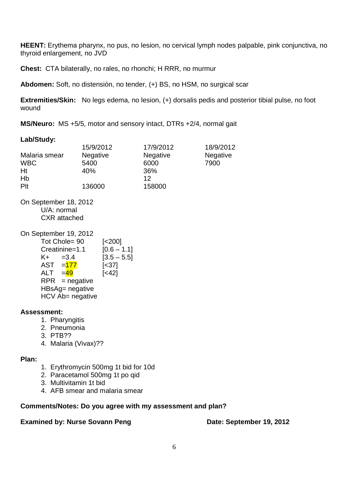**HEENT:** Erythema pharynx, no pus, no lesion, no cervical lymph nodes palpable, pink conjunctiva, no thyroid enlargement, no JVD

**Chest:** CTA bilaterally, no rales, no rhonchi; H RRR, no murmur

**Abdomen:** Soft, no distensión, no tender, (+) BS, no HSM, no surgical scar

**Extremities/Skin:** No legs edema, no lesion, (+) dorsalis pedis and posterior tibial pulse, no foot wound

**MS/Neuro:** MS +5/5, motor and sensory intact, DTRs +2/4, normal gait

## **Lab/Study:**

|               | 15/9/2012       | 17/9/2012       | 18/9/2012       |
|---------------|-----------------|-----------------|-----------------|
| Malaria smear | <b>Negative</b> | <b>Negative</b> | <b>Negative</b> |
| <b>WBC</b>    | 5400            | 6000            | 7900            |
| Ht            | 40%             | 36%             |                 |
| Hb            |                 | 12              |                 |
| Plt           | 136000          | 158000          |                 |

On September 18, 2012 U/A: normal CXR attached

## On September 19, 2012

|            | Tot Chole= 90          | [ <sub>200</sub> ] |
|------------|------------------------|--------------------|
|            | Creatinine=1.1         | $[0.6 - 1.1]$      |
| K+         | $=3.4$                 | $[3.5 - 5.5]$      |
|            | AST = <mark>177</mark> | $[<37]$            |
| <b>ALT</b> | $=$ 49                 | $[<42]$            |
|            | $RPR = negative$       |                    |
|            | HBsAg= negative        |                    |
|            | HCV Ab= negative       |                    |

## **Assessment:**

- 1. Pharyngitis
- 2. Pneumonia
- 3. PTB??
- 4. Malaria (Vivax)??

## **Plan:**

- 1. Erythromycin 500mg 1t bid for 10d
- 2. Paracetamol 500mg 1t po qid
- 3. Multivitamin 1t bid
- 4. AFB smear and malaria smear

## **Comments/Notes: Do you agree with my assessment and plan?**

## **Examined by: Nurse Sovann Peng Date: September 19, 2012**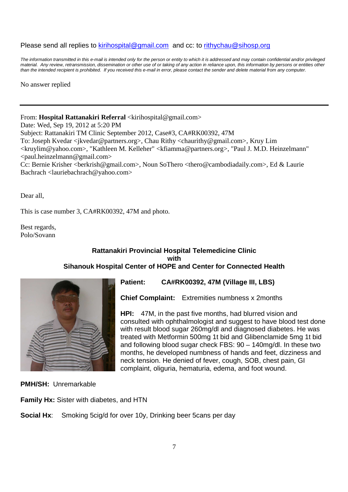## Please send all replies to kirihospital@gmail.com and cc: to rithychau@sihosp.org

The information transmitted in this e-mail is intended only for the person or entity to which it is addressed and may contain confidential and/or privileged material. Any review, retransmission, dissemination or other use of or taking of any action in reliance upon, this information by persons or entities other than the intended recipient is prohibited. If you received this e-mail in error, please contact the sender and delete material from any computer.

No answer replied

## From: **Hospital Rattanakiri Referral** <kirihospital@gmail.com>

Date: Wed, Sep 19, 2012 at 5:20 PM

Subject: Rattanakiri TM Clinic September 2012, Case#3, CA#RK00392, 47M

To: Joseph Kvedar <jkvedar@partners.org>, Chau Rithy <chaurithy@gmail.com>, Kruy Lim

<kruylim@yahoo.com>, "Kathleen M. Kelleher" <kfiamma@partners.org>, "Paul J. M.D. Heinzelmann"  $\le$ paul.heinzelmann@gmail.com>

Cc: Bernie Krisher <br/>berkrish@gmail.com>, Noun SoThero <thero@cambodiadaily.com>, Ed & Laurie Bachrach <lauriebachrach@yahoo.com>

Dear all,

This is case number 3, CA#RK00392, 47M and photo.

Best regards, Polo/Sovann

## **Rattanakiri Provincial Hospital Telemedicine Clinic with Sihanouk Hospital Center of HOPE and Center for Connected Health**



## **Patient: CA#RK00392, 47M (Village III, LBS)**

**Chief Complaint:** Extremities numbness x 2months

**HPI:** 47M, in the past five months, had blurred vision and consulted with ophthalmologist and suggest to have blood test done with result blood sugar 260mg/dl and diagnosed diabetes. He was treated with Metformin 500mg 1t bid and Glibenclamide 5mg 1t bid and following blood sugar check FBS: 90 – 140mg/dl. In these two months, he developed numbness of hands and feet, dizziness and neck tension. He denied of fever, cough, SOB, chest pain, GI complaint, oliguria, hematuria, edema, and foot wound.

**PMH/SH:** Unremarkable

**Family Hx:** Sister with diabetes, and HTN

**Social Hx**: Smoking 5cig/d for over 10y, Drinking beer 5cans per day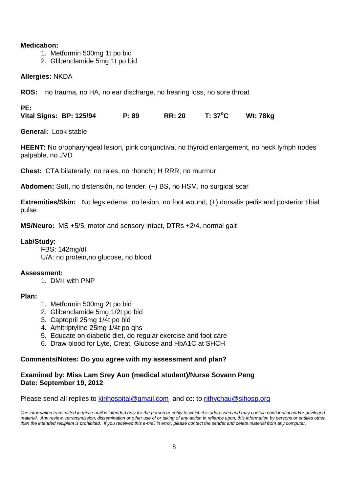## **Medication:**

- 1. Metformin 500mg 1t po bid
- 2. Glibenclamide 5mg 1t po bid

## **Allergies:** NKDA

**ROS:** no trauma, no HA, no ear discharge, no hearing loss, no sore throat

## **PE:**

**Vital Signs: BP: 125/94 P: 89 RR: 20 T: 37<sup>o</sup>C Wt: 78kg** 

**General:** Look stable

**HEENT:** No oropharyngeal lesion, pink conjunctiva, no thyroid enlargement, no neck lymph nodes palpable, no JVD

**Chest:** CTA bilaterally, no rales, no rhonchi; H RRR, no murmur

**Abdomen:** Soft, no distensión, no tender, (+) BS, no HSM, no surgical scar

**Extremities/Skin:** No legs edema, no lesion, no foot wound, (+) dorsalis pedis and posterior tibial pulse

**MS/Neuro:** MS +5/5, motor and sensory intact, DTRs +2/4, normal gait

## **Lab/Study:**

FBS: 142mg/dl U/A: no protein,no glucose, no blood

## **Assessment:**

1. DMII with PNP

## **Plan:**

- 1. Metformin 500mg 2t po bid
- 2. Glibenclamide 5mg 1/2t po bid
- 3. Captopril 25mg 1/4t po bid
- 4. Amitriptyline 25mg 1/4t po qhs
- 5. Educate on diabetic diet, do regular exercise and foot care
- 6. Draw blood for Lyte, Creat, Glucose and HbA1C at SHCH

## **Comments/Notes: Do you agree with my assessment and plan?**

## **Examined by: Miss Lam Srey Aun (medical student)/Nurse Sovann Peng Date: September 19, 2012**

Please send all replies to kirihospital@gmail.com and cc: to rithychau@sihosp.org

The information transmitted in this e-mail is intended only for the person or entity to which it is addressed and may contain confidential and/or privileged material. Any review, retransmission, dissemination or other use of or taking of any action in reliance upon, this information by persons or entities other than the intended recipient is prohibited. If you received this e-mail in error, please contact the sender and delete material from any computer.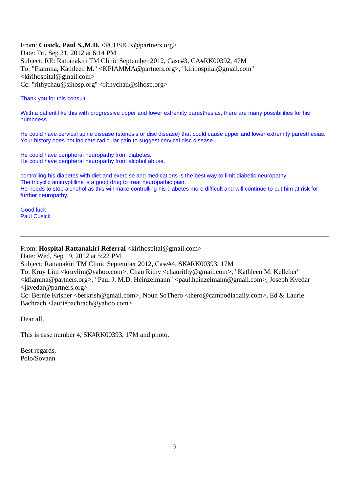From: **Cusick, Paul S.,M.D.** <PCUSICK@partners.org> Date: Fri, Sep 21, 2012 at 6:14 PM Subject: RE: Rattanakiri TM Clinic September 2012, Case#3, CA#RK00392, 47M To: "Fiamma, Kathleen M." <KFIAMMA@partners.org>, "kirihospital@gmail.com"  $\langle$ kirihospital@gmail.com> Cc: "rithychau@sihosp.org" <rithychau@sihosp.org>

Thank you for this consult.

Wiith a patient like this with progressive upper and lower extremity paresthesias, there are many possibilities for his numbness.

He could have cervical spine disease (stenosis or disc disease) that could cause upper and lower extremity paresthesias. Your history does not indicate radicular pain to suggest cervical disc disease.

He could have peripheral neuropathy from diabetes. He could have peripheral neuropathy from alcohol abuse.

controlling his diabetes with diet and exercise and medications is the best way to limit diabetic neuropathy. The tricyclic amitryptilline is a good drug to treat neuropathic pain. He needs to stop alchohol as this will make controlling his diabetes more difficult and will continue to put him at risk for further neuropathy.

Good luck Paul Cusick

## From: **Hospital Rattanakiri Referral** <kirihospital@gmail.com>

Date: Wed, Sep 19, 2012 at 5:22 PM

Subject: Rattanakiri TM Clinic September 2012, Case#4, SK#RK00393, 17M

To: Kruy Lim <kruylim@yahoo.com>, Chau Rithy <chaurithy@gmail.com>, "Kathleen M. Kelleher" <kfiamma@partners.org>, "Paul J. M.D. Heinzelmann" <paul.heinzelmann@gmail.com>, Joseph Kvedar <jkvedar@partners.org>

Cc: Bernie Krisher <br/>berkrish@gmail.com>, Noun SoThero <thero@cambodiadaily.com>, Ed & Laurie Bachrach <lauriebachrach@yahoo.com>

Dear all,

This is case number 4, SK#RK00393, 17M and photo.

Best regards, Polo/Sovann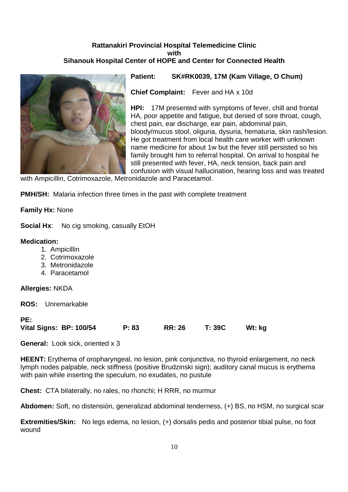## **Rattanakiri Provincial Hospital Telemedicine Clinic with Sihanouk Hospital Center of HOPE and Center for Connected Health**



**Patient: SK#RK0039, 17M (Kam Village, O Chum)** 

**Chief Complaint:** Fever and HA x 10d

**HPI:** 17M presented with symptoms of fever, chill and frontal HA, poor appetite and fatigue, but denied of sore throat, cough, chest pain, ear discharge, ear pain, abdominal pain, bloody/mucus stool, oliguria, dysuria, hematuria, skin rash/lesion. He got treatment from local health care worker with unknown name medicine for about 1w but the fever still persisted so his family brought him to referral hospital. On arrival to hospital he still presented with fever, HA, neck tension, back pain and confusion with visual hallucination, hearing loss and was treated

with Ampicillin, Cotrimoxazole, Metronidazole and Paracetamol.

**PMH/SH:** Malaria infection three times in the past with complete treatment

**Family Hx:** None

**Social Hx:** No cig smoking, casually EtOH

## **Medication:**

- 1. Ampicillin
- 2. Cotrimoxazole
- 3. Metronidazole
- 4. Paracetamol

**Allergies:** NKDA

**ROS:** Unremarkable

### **PE:**

| Vital Signs: BP: 100/54 | P: 83 | <b>RR: 26</b> | <b>T: 39C</b> | Wt: kg |
|-------------------------|-------|---------------|---------------|--------|
|-------------------------|-------|---------------|---------------|--------|

**General:** Look sick, oriented x 3

**HEENT:** Erythema of oropharyngeal, no lesion, pink conjunctiva, no thyroid enlargement, no neck lymph nodes palpable, neck stiffness (positive Brudzinski sign); auditory canal mucus is erythema with pain while inserting the speculum, no exudates, no pustule

**Chest:** CTA bilaterally, no rales, no rhonchi; H RRR, no murmur

**Abdomen:** Soft, no distensión, generalizad abdominal tenderness, (+) BS, no HSM, no surgical scar

**Extremities/Skin:** No legs edema, no lesion, (+) dorsalis pedis and posterior tibial pulse, no foot wound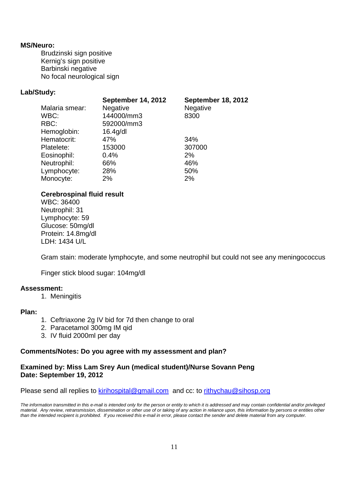## **MS/Neuro:**

 Brudzinski sign positive Kernig's sign positive Barbinski negative No focal neurological sign

## **Lab/Study:**

|                | <b>September 14, 2012</b> | <b>September 18, 2012</b> |
|----------------|---------------------------|---------------------------|
| Malaria smear: | Negative                  | Negative                  |
| WBC:           | 144000/mm3                | 8300                      |
| RBC:           | 592000/mm3                |                           |
| Hemoglobin:    | $16.4$ g/dl               |                           |
| Hematocrit:    | 47%                       | 34%                       |
| Platelete:     | 153000                    | 307000                    |
| Eosinophil:    | 0.4%                      | 2%                        |
| Neutrophil:    | 66%                       | 46%                       |
| Lymphocyte:    | 28%                       | 50%                       |
| Monocyte:      | 2%                        | 2%                        |

## **Cerebrospinal fluid result**

 WBC: 36400 Neutrophil: 31 Lymphocyte: 59 Glucose: 50mg/dl Protein: 14.8mg/dl LDH: 1434 U/L

Gram stain: moderate lymphocyte, and some neutrophil but could not see any meningococcus

Finger stick blood sugar: 104mg/dl

## **Assessment:**

1. Meningitis

## **Plan:**

- 1. Ceftriaxone 2g IV bid for 7d then change to oral
- 2. Paracetamol 300mg IM qid
- 3. IV fluid 2000ml per day

## **Comments/Notes: Do you agree with my assessment and plan?**

## **Examined by: Miss Lam Srey Aun (medical student)/Nurse Sovann Peng Date: September 19, 2012**

Please send all replies to kirihospital@gmail.com and cc: to rithychau@sihosp.org

The information transmitted in this e-mail is intended only for the person or entity to which it is addressed and may contain confidential and/or privileged material. Any review, retransmission, dissemination or other use of or taking of any action in reliance upon, this information by persons or entities other than the intended recipient is prohibited. If you received this e-mail in error, please contact the sender and delete material from any computer.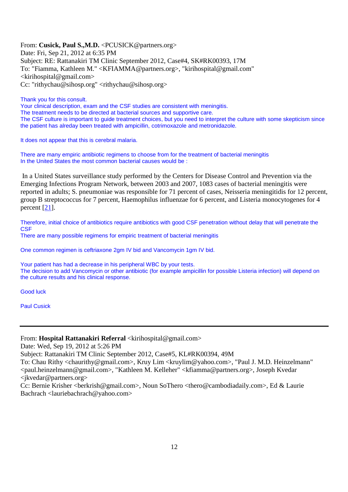From: **Cusick, Paul S.,M.D.** <PCUSICK@partners.org> Date: Fri, Sep 21, 2012 at 6:35 PM Subject: RE: Rattanakiri TM Clinic September 2012, Case#4, SK#RK00393, 17M To: "Fiamma, Kathleen M." <KFIAMMA@partners.org>, "kirihospital@gmail.com"  $\le$ kirihospital@gmail.com> Cc: "rithychau@sihosp.org" <rithychau@sihosp.org>

Thank you for this consult.

Your clinical description, exam and the CSF studies are consistent with meningitis.

The treatment needs to be directed at bacterial sources and supportive care.

The CSF culture is important to guide treatment choices, but you need to interpret the culture with some skepticism since the patient has alreday been treated with ampicillin, cotrimoxazole and metronidazole.

It does not appear that this is cerebral malaria.

There are many empiric antibiotic regimens to choose from for the treatment of bacterial meningitis In the United States the most common bacterial causes would be :

 In a United States surveillance study performed by the Centers for Disease Control and Prevention via the Emerging Infections Program Network, between 2003 and 2007, 1083 cases of bacterial meningitis were reported in adults; S. pneumoniae was responsible for 71 percent of cases, Neisseria meningitidis for 12 percent, group B streptococcus for 7 percent, Haemophilus influenzae for 6 percent, and Listeria monocytogenes for 4 percent  $[21]$ .

Therefore, initial choice of antibiotics require antibiotics with good CSF penetration without delay that will penetrate the **CSF** 

There are many possible regimens for empiric treatment of bacterial meningitis

One common regimen is ceftriaxone 2gm IV bid and Vancomycin 1gm IV bid.

Your patient has had a decrease in his peripheral WBC by your tests. The decision to add Vancomycin or other antibiotic (for example ampicillin for possible Listeria infection) will depend on the culture results and his clinical response.

Good luck

Paul Cusick

From: **Hospital Rattanakiri Referral** <kirihospital@gmail.com>

Date: Wed, Sep 19, 2012 at 5:26 PM

Subject: Rattanakiri TM Clinic September 2012, Case#5, KL#RK00394, 49M

To: Chau Rithy <chaurithy@gmail.com>, Kruy Lim <kruylim@yahoo.com>, "Paul J. M.D. Heinzelmann" <paul.heinzelmann@gmail.com>, "Kathleen M. Kelleher" <kfiamma@partners.org>, Joseph Kvedar <jkvedar@partners.org>

Cc: Bernie Krisher <berkrish@gmail.com>, Noun SoThero <thero@cambodiadaily.com>, Ed & Laurie Bachrach <lauriebachrach@yahoo.com>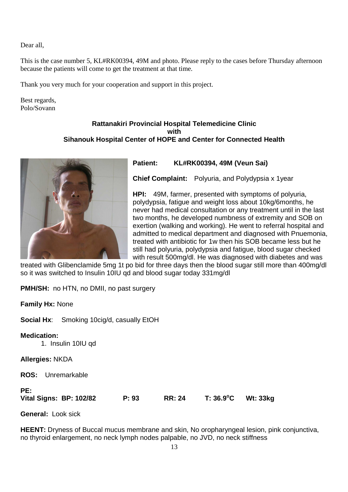Dear all,

This is the case number 5, KL#RK00394, 49M and photo. Please reply to the cases before Thursday afternoon because the patients will come to get the treatment at that time.

Thank you very much for your cooperation and support in this project.

Best regards, Polo/Sovann

## **Rattanakiri Provincial Hospital Telemedicine Clinic with Sihanouk Hospital Center of HOPE and Center for Connected Health**



**Patient: KL#RK00394, 49M (Veun Sai)** 

**Chief Complaint:** Polyuria, and Polydypsia x 1year

**HPI:** 49M, farmer, presented with symptoms of polyuria, polydypsia, fatigue and weight loss about 10kg/6months, he never had medical consultation or any treatment until in the last two months, he developed numbness of extremity and SOB on exertion (walking and working). He went to referral hospital and admitted to medical department and diagnosed with Pnuemonia, treated with antibiotic for 1w then his SOB became less but he still had polyuria, polydypsia and fatigue, blood sugar checked with result 500mg/dl. He was diagnosed with diabetes and was

treated with Glibenclamide 5mg 1t po bid for three days then the blood sugar still more than 400mg/dl so it was switched to Insulin 10IU qd and blood sugar today 331mg/dl

**PMH/SH:** no HTN, no DMII, no past surgery

**Family Hx:** None

**Social Hx**: Smoking 10cig/d, casually EtOH

**Medication:**

1. Insulin 10IU qd

**Allergies:** NKDA

**ROS:** Unremarkable

**PE:** 

**Vital Signs: BP: 102/82 P: 93 RR: 24 T: 36.9<sup>o</sup>C Wt: 33kg** 

**General:** Look sick

**HEENT:** Dryness of Buccal mucus membrane and skin, No oropharyngeal lesion, pink conjunctiva, no thyroid enlargement, no neck lymph nodes palpable, no JVD, no neck stiffness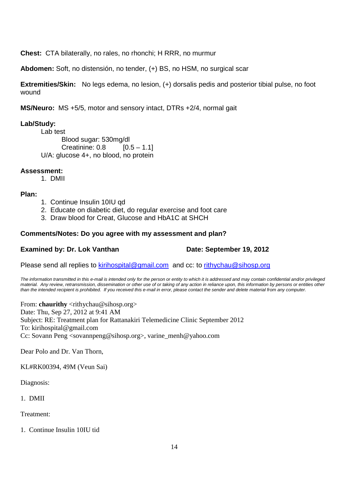**Chest:** CTA bilaterally, no rales, no rhonchi; H RRR, no murmur

**Abdomen:** Soft, no distensión, no tender, (+) BS, no HSM, no surgical scar

**Extremities/Skin:** No legs edema, no lesion, (+) dorsalis pedis and posterior tibial pulse, no foot wound

**MS/Neuro:** MS +5/5, motor and sensory intact, DTRs +2/4, normal gait

## **Lab/Study:**

Lab test Blood sugar: 530mg/dl Creatinine:  $0.8$  [0.5 – 1.1] U/A: glucose 4+, no blood, no protein

## **Assessment:**

1. DMII

## **Plan:**

- 1. Continue Insulin 10IU qd
- 2. Educate on diabetic diet, do regular exercise and foot care
- 3. Draw blood for Creat, Glucose and HbA1C at SHCH

## **Comments/Notes: Do you agree with my assessment and plan?**

## **Examined by: Dr. Lok Vanthan Date: September 19, 2012**

Please send all replies to kirihospital@gmail.com and cc: to rithychau@sihosp.org

The information transmitted in this e-mail is intended only for the person or entity to which it is addressed and may contain confidential and/or privileged material. Any review, retransmission, dissemination or other use of or taking of any action in reliance upon, this information by persons or entities other than the intended recipient is prohibited. If you received this e-mail in error, please contact the sender and delete material from any computer.

From: **chaurithy** <rithychau@sihosp.org> Date: Thu, Sep 27, 2012 at 9:41 AM Subject: RE: Treatment plan for Rattanakiri Telemedicine Clinic September 2012 To: kirihospital@gmail.com Cc: Sovann Peng <sovannpeng@sihosp.org>, varine\_menh@yahoo.com

Dear Polo and Dr. Van Thorn,

KL#RK00394, 49M (Veun Sai)

Diagnosis:

1. DMII

Treatment:

1. Continue Insulin 10IU tid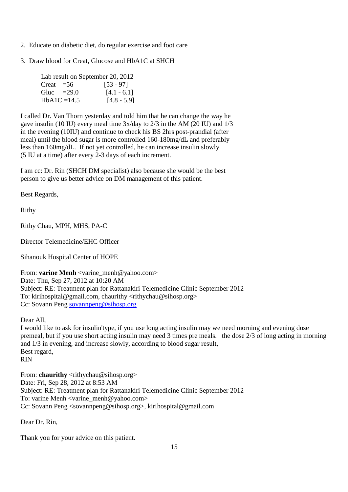- 2. Educate on diabetic diet, do regular exercise and foot care
- 3. Draw blood for Creat, Glucose and HbA1C at SHCH

|             |              | Lab result on September 20, 2012 |
|-------------|--------------|----------------------------------|
| Creat $=56$ |              | $[53 - 97]$                      |
|             | Gluc $=29.0$ | $[4.1 - 6.1]$                    |
|             | $HbA1C=14.5$ | $[4.8 - 5.9]$                    |

I called Dr. Van Thorn yesterday and told him that he can change the way he gave insulin (10 IU) every meal time 3x/day to 2/3 in the AM (20 IU) and 1/3 in the evening (10IU) and continue to check his BS 2hrs post-prandial (after meal) until the blood sugar is more controlled 160-180mg/dL and preferably less than 160mg/dL. If not yet controlled, he can increase insulin slowly (5 IU at a time) after every 2-3 days of each increment.

I am cc: Dr. Rin (SHCH DM specialist) also because she would be the best person to give us better advice on DM management of this patient.

Best Regards,

Rithy

Rithy Chau, MPH, MHS, PA-C

Director Telemedicine/EHC Officer

Sihanouk Hospital Center of HOPE

From: **varine Menh** <varine\_menh@yahoo.com> Date: Thu, Sep 27, 2012 at 10:20 AM Subject: RE: Treatment plan for Rattanakiri Telemedicine Clinic September 2012 To: kirihospital@gmail.com, chaurithy <rithychau@sihosp.org> Cc: Sovann Peng sovannpeng@sihosp.org

Dear All,

I would like to ask for insulin'type, if you use long acting insulin may we need morning and evening dose premeal, but if you use short acting insulin may need 3 times pre meals. the dose 2/3 of long acting in morning and 1/3 in evening, and increase slowly, according to blood sugar result, Best regard, RIN

From: **chaurithy** <rithychau@sihosp.org> Date: Fri, Sep 28, 2012 at 8:53 AM Subject: RE: Treatment plan for Rattanakiri Telemedicine Clinic September 2012 To: varine Menh <varine\_menh@yahoo.com> Cc: Sovann Peng <sovannpeng@sihosp.org>, kirihospital@gmail.com

Dear Dr. Rin,

Thank you for your advice on this patient.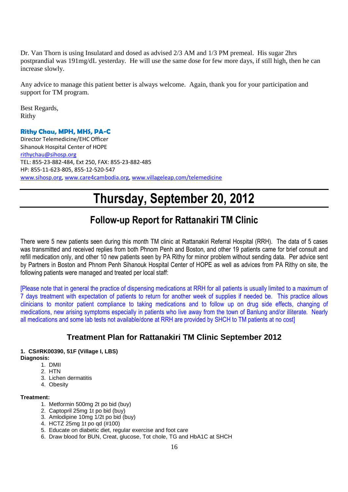Dr. Van Thorn is using Insulatard and dosed as advised 2/3 AM and 1/3 PM premeal. His sugar 2hrs postprandial was 191mg/dL yesterday. He will use the same dose for few more days, if still high, then he can increase slowly.

Any advice to manage this patient better is always welcome. Again, thank you for your participation and support for TM program.

Best Regards, Rithy

## **Rithy Chau, MPH, MHS, PA-C**

Director Telemedicine/EHC Officer Sihanouk Hospital Center of HOPE rithychau@sihosp.org TEL: 855-23-882-484, Ext 250, FAX: 855-23-882-485 HP: 855-11-623-805, 855-12-520-547 www.sihosp.org, www.care4cambodia.org, www.villageleap.com/telemedicine

# **Thursday, September 20, 2012**

## **Follow-up Report for Rattanakiri TM Clinic**

There were 5 new patients seen during this month TM clinic at Rattanakiri Referral Hospital (RRH). The data of 5 cases was transmitted and received replies from both Phnom Penh and Boston, and other 19 patients came for brief consult and refill medication only, and other 10 new patients seen by PA Rithy for minor problem without sending data. Per advice sent by Partners in Boston and Phnom Penh Sihanouk Hospital Center of HOPE as well as advices from PA Rithy on site, the following patients were managed and treated per local staff:

[Please note that in general the practice of dispensing medications at RRH for all patients is usually limited to a maximum of 7 days treatment with expectation of patients to return for another week of supplies if needed be. This practice allows clinicians to monitor patient compliance to taking medications and to follow up on drug side effects, changing of medications, new arising symptoms especially in patients who live away from the town of Banlung and/or illiterate. Nearly all medications and some lab tests not available/done at RRH are provided by SHCH to TM patients at no cost]

## **Treatment Plan for Rattanakiri TM Clinic September 2012**

## **1. CS#RK00390, 51F (Village I, LBS)**

**Diagnosis:**

- 1. DMII
- 2. HTN
- 3. Lichen dermatitis
- 4. Obesity

### **Treatment:**

- 1. Metformin 500mg 2t po bid (buy)
- 2. Captopril 25mg 1t po bid (buy)
- 3. Amlodipine 10mg 1/2t po bid (buy)
- 4. HCTZ 25mg 1t po qd (#100)
- 5. Educate on diabetic diet, regular exercise and foot care
- 6. Draw blood for BUN, Creat, glucose, Tot chole, TG and HbA1C at SHCH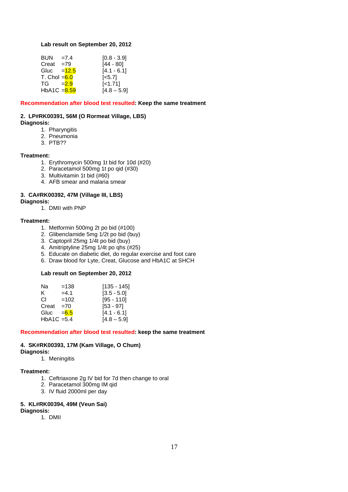#### **Lab result on September 20, 2012**

| <b>BUN</b>              | $=7.4$  | $[0.8 - 3.9]$      |
|-------------------------|---------|--------------------|
| Creat                   | $=79$   | $[44 - 80]$        |
| Gluc                    | $=12.5$ | $[4.1 - 6.1]$      |
| T. Chol $=6.0$          |         | $\left[5.7\right]$ |
| TG –                    | $= 2.9$ | $[-1.71]$          |
| HbA1C $=\frac{8.59}{8}$ |         | $[4.8 - 5.9]$      |

#### **Recommendation after blood test resulted: Keep the same treatment**

#### **2. LP#RK00391, 56M (O Rormeat Village, LBS)**

#### **Diagnosis:**

- 1. Pharyngitis
- 2. Pneumonia
- 3. PTB??

#### **Treatment:**

- 1. Erythromycin 500mg 1t bid for 10d (#20)
- 2. Paracetamol 500mg 1t po qid (#30)
- 3. Multivitamin 1t bid (#60)
- 4. AFB smear and malaria smear

### **3. CA#RK00392, 47M (Village III, LBS)**

#### **Diagnosis:**

1. DMII with PNP

#### **Treatment:**

- 1. Metformin 500mg 2t po bid (#100)
- 2. Glibenclamide 5mg 1/2t po bid (buy)
- 3. Captopril 25mg 1/4t po bid (buy)
- 4. Amitriptyline 25mg 1/4t po qhs (#25)
- 5. Educate on diabetic diet, do regular exercise and foot care
- 6. Draw blood for Lyte, Creat, Glucose and HbA1C at SHCH

#### **Lab result on September 20, 2012**

| Na                         | $=138$  | $[135 - 145]$ |
|----------------------------|---------|---------------|
| ĸ.                         | $=4.1$  | $[3.5 - 5.0]$ |
| CL.                        | $=102$  | $[95 - 110]$  |
| Creat                      | $=70$   | $[53 - 97]$   |
| Gluc                       | $= 6.5$ | $[4.1 - 6.1]$ |
| HbA <sub>1</sub> C = $5.4$ |         | $[4.8 - 5.9]$ |

#### **Recommendation after blood test resulted: keep the same treatment**

#### **4. SK#RK00393, 17M (Kam Village, O Chum)**

#### **Diagnosis:**

1. Meningitis

#### **Treatment:**

- 1. Ceftriaxone 2g IV bid for 7d then change to oral
- 2. Paracetamol 300mg IM qid
- 3. IV fluid 2000ml per day

#### **5. KL#RK00394, 49M (Veun Sai)**

**Diagnosis:**

1. DMII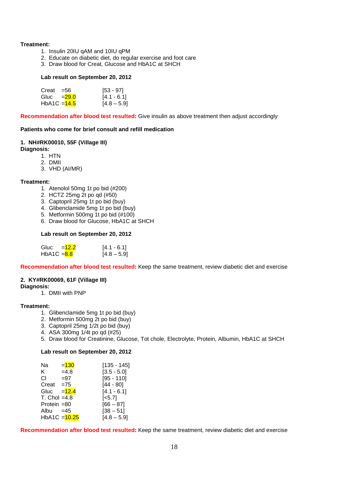#### **Treatment:**

- 1. Insulin 20IU qAM and 10IU qPM
- 2. Educate on diabetic diet, do regular exercise and foot care
- 3. Draw blood for Creat, Glucose and HbA1C at SHCH

#### **Lab result on September 20, 2012**

| $Creat = 56$              | $[53 - 97]$   |
|---------------------------|---------------|
| Gluc $=29.0$              | $[4.1 - 6.1]$ |
| HbA1C = <mark>14.5</mark> | $[4.8 - 5.9]$ |

**Recommendation after blood test resulted:** Give insulin as above treatment then adjust accordingly

#### **Patients who come for brief consult and refill medication**

#### **1. NH#RK00010, 55F (Village III)**

**Diagnosis:** 

- 1. HTN
- 2. DMII
- 3. VHD (AI/MR)

#### **Treatment:**

- 1. Atenolol 50mg 1t po bid (#200)
- 2. HCTZ 25mg 2t po qd (#50)
- 3. Captopril 25mg 1t po bid (buy)
- 4. Glibenclamide 5mg 1t po bid (buy)
- 5. Metformin 500mg 1t po bid (#100)
- 6. Draw blood for Glucose, HbA1C at SHCH

#### **Lab result on September 20, 2012**

| Gluc<br>$=12.2$ | $[4.1 - 6.1]$ |
|-----------------|---------------|
| HbA1C $= 8.8$   | $[4.8 - 5.9]$ |

**Recommendation after blood test resulted:** Keep the same treatment, review diabetic diet and exercise

## **2. KY#RK00069, 61F (Village III)**

**Diagnosis:** 

1. DMII with PNP

#### **Treatment:**

- 1. Glibenclamide 5mg 1t po bid (buy)
- 2. Metformin 500mg 2t po bid (buy)
- 3. Captopril 25mg 1/2t po bid (buy)
- 4. ASA 300mg 1/4t po qd (#25)
- 5. Draw blood for Creatinine, Glucose, Tot chole, Electrolyte, Protein, Albumin, HbA1C at SHCH

#### **Lab result on September 20, 2012**

| Na             | $= 130$ | $[135 - 145]$         |
|----------------|---------|-----------------------|
| K.             | $=4.8$  | $[3.5 - 5.0]$         |
| СI             | $= 97$  | $[95 - 110]$          |
| $Create = 75$  |         | $[44 - 80]$           |
| Gluc           | $=12.4$ | $[4.1 - 6.1]$         |
| $T.$ Chol =4.8 |         | $\left[ <5.7 \right]$ |
| Protein $=80$  |         | $[66 - 87]$           |
| Albu $=45$     |         | $[38 - 51]$           |
| HbA1C = 10.25  |         | $[4.8 - 5.9]$         |

**Recommendation after blood test resulted:** Keep the same treatment, review diabetic diet and exercise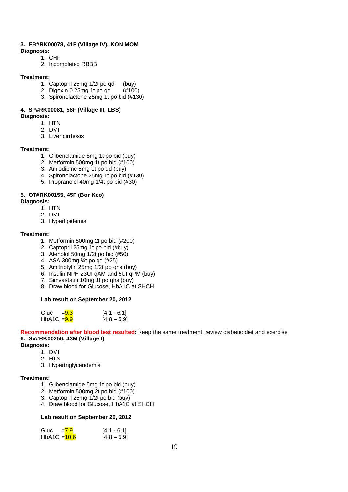#### **3. EB#RK00078, 41F (Village IV), KON MOM**

**Diagnosis:** 

- 1. CHF
- 2. Incompleted RBBB

#### **Treatment:**

- 1. Captopril 25mg 1/2t po qd (buy)
- 2. Digoxin 0.25mg 1t po qd (#100)
- 3. Spironolactone 25mg 1t po bid (#130)

#### **4. SP#RK00081, 58F (Village III, LBS) Diagnosis:**

- - 1. HTN
	- 2. DMII
	- 3. Liver cirrhosis

#### **Treatment:**

- 1. Glibenclamide 5mg 1t po bid (buy)
- 2. Metformin 500mg 1t po bid (#100)
- 3. Amlodipine 5mg 1t po qd (buy)
- 4. Spironolactone 25mg 1t po bid (#130)
- 5. Propranolol 40mg 1/4t po bid (#30)

### **5. OT#RK00155, 45F (Bor Keo)**

#### **Diagnosis:**

- 1. HTN
- 2. DMII
- 3. Hyperlipidemia

#### **Treatment:**

- 1. Metformin 500mg 2t po bid (#200)
- 2. Captopril 25mg 1t po bid (#buy)
- 3. Atenolol 50mg 1/2t po bid (#50)
- 4. ASA 300mg ¼t po qd (#25)
- 5. Amitriptylin 25mg 1/2t po qhs (buy)
- 6. Insulin NPH 23UI qAM and 5UI qPM (buy)
- 7. Simvastatin 10mg 1t po qhs (buy)
- 8. Draw blood for Glucose, HbA1C at SHCH

#### **Lab result on September 20, 2012**

| Gluc $= 9.3$  | $[4.1 - 6.1]$ |
|---------------|---------------|
| $HbA1C = 9.9$ | $[4.8 - 5.9]$ |

**Recommendation after blood test resulted:** Keep the same treatment, review diabetic diet and exercise **6. SV#RK00256, 43M (Village I)** 

#### **Diagnosis:**

- 1. DMII
- 2. HTN
- 3. Hypertriglyceridemia

#### **Treatment:**

- 1. Glibenclamide 5mg 1t po bid (buy)
- 2. Metformin 500mg 2t po bid (#100)
- 3. Captopril 25mg 1/2t po bid (buy)
- 4. Draw blood for Glucose, HbA1C at SHCH

#### **Lab result on September 20, 2012**

| Gluc           | $= 7.9$ | $[4.1 - 6.1]$ |
|----------------|---------|---------------|
| HbA1C $=$ 10.6 |         | $[4.8 - 5.9]$ |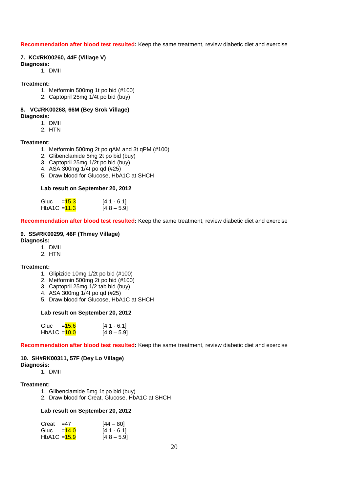#### **Recommendation after blood test resulted:** Keep the same treatment, review diabetic diet and exercise

#### **7. KC#RK00260, 44F (Village V) Diagnosis:**

1. DMII

#### **Treatment:**

- 1. Metformin 500mg 1t po bid (#100)
- 2. Captopril 25mg 1/4t po bid (buy)

## **8. VC#RK00268, 66M (Bey Srok Village)**

- **Diagnosis:** 
	- 1. DMII
	- 2. HTN

#### **Treatment:**

- 1. Metformin 500mg 2t po qAM and 3t qPM (#100)
- 2. Glibenclamide 5mg 2t po bid (buy)
- 3. Captopril 25mg 1/2t po bid (buy)
- 4. ASA 300mg 1/4t po qd (#25)
- 5. Draw blood for Glucose, HbA1C at SHCH

#### **Lab result on September 20, 2012**

| Gluc = <del>15.3</del>  | $[4.1 - 6.1]$ |
|-------------------------|---------------|
| HbA1C = <del>11.3</del> | $[4.8 - 5.9]$ |

#### **Recommendation after blood test resulted:** Keep the same treatment, review diabetic diet and exercise

#### **9. SS#RK00299, 46F (Thmey Village)**

#### **Diagnosis:**

- 1. DMII
- 2. HTN

#### **Treatment:**

- 1. Glipizide 10mg 1/2t po bid (#100)
- 2. Metformin 500mg 2t po bid (#100)
- 3. Captopril 25mg 1/2 tab bid (buy)
- 4. ASA 300mg 1/4t po qd (#25)
- 5. Draw blood for Glucose, HbA1C at SHCH

#### **Lab result on September 20, 2012**

| Gluc $=$ $\frac{15.6}{ }$ | $[4.1 - 6.1]$ |
|---------------------------|---------------|
| HbA1C = <mark>10.0</mark> | $[4.8 - 5.9]$ |

**Recommendation after blood test resulted:** Keep the same treatment, review diabetic diet and exercise

#### **10. SH#RK00311, 57F (Dey Lo Village)**

#### **Diagnosis:**

1. DMII

#### **Treatment:**

- 1. Glibenclamide 5mg 1t po bid (buy)
- 2. Draw blood for Creat, Glucose, HbA1C at SHCH

#### **Lab result on September 20, 2012**

| Creat $=47$             | $[44 - 80]$   |
|-------------------------|---------------|
| Gluc $=14.0$            | $[4.1 - 6.1]$ |
| HbA1C = <del>15.9</del> | $[4.8 - 5.9]$ |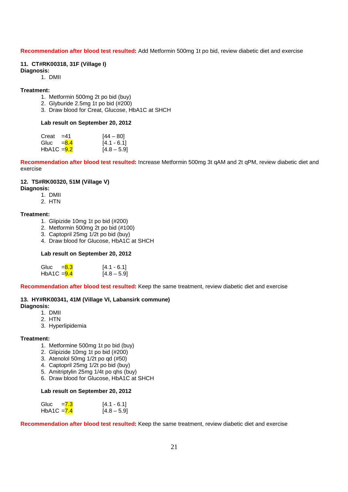#### **Recommendation after blood test resulted:** Add Metformin 500mg 1t po bid, review diabetic diet and exercise

#### **11. CT#RK00318, 31F (Village I)**

- **Diagnosis:** 
	- 1. DMII

#### **Treatment:**

- 1. Metformin 500mg 2t po bid (buy)
- 2. Glyburide 2.5mg 1t po bid (#200)
- 3. Draw blood for Creat, Glucose, HbA1C at SHCH

#### **Lab result on September 20, 2012**

| Creat $=41$   | $[44 - 80]$   |
|---------------|---------------|
| Gluc $=$ 8.4  | $[4.1 - 6.1]$ |
| HbA1C $=$ 9.2 | $[4.8 - 5.9]$ |

**Recommendation after blood test resulted:** Increase Metformin 500mg 3t qAM and 2t qPM, review diabetic diet and exercise

## **12. TS#RK00320, 51M (Village V)**

## **Diagnosis:**

- 1. DMII
- 2. HTN

#### **Treatment:**

- 1. Glipizide 10mg 1t po bid (#200)
- 2. Metformin 500mg 2t po bid (#100)
- 3. Captopril 25mg 1/2t po bid (buy)
- 4. Draw blood for Glucose, HbA1C at SHCH

#### **Lab result on September 20, 2012**

| Gluc $=$ 8.3  | $[4.1 - 6.1]$ |
|---------------|---------------|
| HbA1C $=$ 9.4 | $[4.8 - 5.9]$ |

**Recommendation after blood test resulted:** Keep the same treatment, review diabetic diet and exercise

### **13. HY#RK00341, 41M (Village VI, Labansirk commune)**

- **Diagnosis:**
	- 1. DMII
	- 2. HTN
	- 3. Hyperlipidemia

#### **Treatment:**

- 1. Metformine 500mg 1t po bid (buy)
- 2. Glipizide 10mg 1t po bid (#200)
- 3. Atenolol 50mg 1/2t po qd (#50)
- 4. Captopril 25mg 1/2t po bid (buy)
- 5. Amitriptylin 25mg 1/4t po qhs (buy)
- 6. Draw blood for Glucose, HbA1C at SHCH

#### **Lab result on September 20, 2012**

| Gluc $= 7.3$  | $[4.1 - 6.1]$ |
|---------------|---------------|
| HbA1C $= 7.4$ | $[4.8 - 5.9]$ |

**Recommendation after blood test resulted:** Keep the same treatment, review diabetic diet and exercise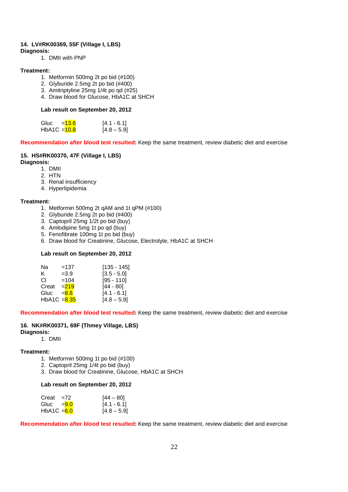#### **14. LV#RK00369, 55F (Village I, LBS)**

**Diagnosis:**

1. DMII with PNP

#### **Treatment:**

- 1. Metformin 500mg 2t po bid (#100)
- 2. Glyburide 2.5mg 2t po bid (#400)
- 3. Amitriptyline 25mg 1/4t po qd (#25)
- 4. Draw blood for Glucose, HbA1C at SHCH

#### **Lab result on September 20, 2012**

| Gluc $=$ $\frac{13.6}{ }$ | $[4.1 - 6.1]$ |
|---------------------------|---------------|
| HbA1C = <mark>10.8</mark> | $[4.8 - 5.9]$ |

**Recommendation after blood test resulted:** Keep the same treatment, review diabetic diet and exercise

## **15. HS#RK00370, 47F (Village I, LBS)**

- **Diagnosis:**
	- 1. DMII
	- 2. HTN
	- 3. Renal insufficiency
	- 4. Hyperlipidemia

#### **Treatment:**

- 1. Metformin 500mg 2t qAM and 1t qPM (#100)
- 2. Glyburide 2.5mg 2t po bid (#400)
- 3. Captopril 25mg 1/2t po bid (buy)
- 4. Amlodipine 5mg 1t po qd (buy)
- 5. Fenofibrate 100mg 1t po bid (buy)
- 6. Draw blood for Creatinine, Glucose, Electrolyte, HbA1C at SHCH

#### **Lab result on September 20, 2012**

| Na             | $=137$  | $[135 - 145]$ |
|----------------|---------|---------------|
| ĸ.             | $=3.9$  | $[3.5 - 5.0]$ |
| СL             | $=104$  | $[95 - 110]$  |
| Creat          | $= 219$ | [44 - 80]     |
| Gluc           | $= 8.8$ | $[4.1 - 6.1]$ |
| HbA1C $= 8.35$ |         | $[4.8 - 5.9]$ |

**Recommendation after blood test resulted:** Keep the same treatment, review diabetic diet and exercise

#### **16. NK#RK00371, 69F (Thmey Village, LBS) Diagnosis:**

## 1. DMII

#### **Treatment:**

- 1. Metformin 500mg 1t po bid (#100)
- 2. Captopril 25mg 1/4t po bid (buy)
- 3. Draw blood for Creatinine, Glucose, HbA1C at SHCH

#### **Lab result on September 20, 2012**

| $Create = 72$ | $[44 - 80]$   |
|---------------|---------------|
| Gluc $=9.0$   | $[4.1 - 6.1]$ |
| $HbA1C = 6.0$ | $[4.8 - 5.9]$ |

**Recommendation after blood test resulted:** Keep the same treatment, review diabetic diet and exercise